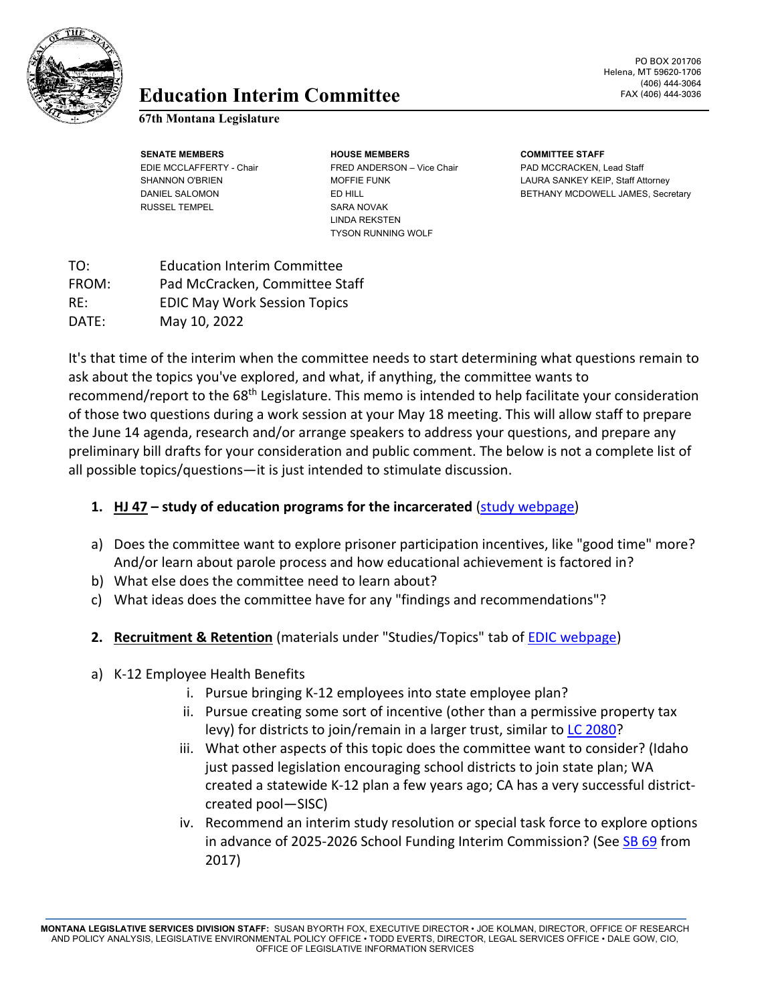

# **Education** FAX (406) 444-3036 **Interim Committee**

#### **67th Montana Legislature**

RUSSEL TEMPEL SARA NOVAK

**SENATE MEMBERS HOUSE MEMBERS COMMITTEE STAFF** EDIE MCCLAFFERTY - Chair FRED ANDERSON – Vice Chair PAD MCCRACKEN, Lead Staff LINDA REKSTEN TYSON RUNNING WOLF

PO BOX 201706 Helena, MT 59620-1706 (406) 444-3064

SHANNON O'BRIEN MOFFIE FUNK LAURA SANKEY KEIP, Staff Attorney DANIEL SALOMON **ED HILL BETHANY MCDOWELL JAMES, Secretary** ED HILL

TO: Education Interim Committee FROM: Pad McCracken, Committee Staff RE: EDIC May Work Session Topics DATE: May 10, 2022

It's that time of the interim when the committee needs to start determining what questions remain to ask about the topics you've explored, and what, if anything, the committee wants to recommend/report to the  $68<sup>th</sup>$  Legislature. This memo is intended to help facilitate your consideration of those two questions during a work session at your May 18 meeting. This will allow staff to prepare the June 14 agenda, research and/or arrange speakers to address your questions, and prepare any preliminary bill drafts for your consideration and public comment. The below is not a complete list of all possible topics/questions—it is just intended to stimulate discussion.

## **1. HJ 47 – study of education programs for the incarcerated** [\(study webpage\)](https://leg.mt.gov/committees/interim/eic/hj-47/)

- a) Does the committee want to explore prisoner participation incentives, like "good time" more? And/or learn about parole process and how educational achievement is factored in?
- b) What else does the committee need to learn about?
- c) What ideas does the committee have for any "findings and recommendations"?
- **2. Recruitment & Retention** (materials under "Studies/Topics" tab of [EDIC webpage\)](https://leg.mt.gov/committees/interim/eic/hj-47/)
- a) K-12 Employee Health Benefits
	- i. Pursue bringing K-12 employees into state employee plan?
	- ii. Pursue creating some sort of incentive (other than a permissive property tax levy) for districts to join/remain in a larger trust, similar to **LC 2080?**
	- iii. What other aspects of this topic does the committee want to consider? (Idaho just passed legislation encouraging school districts to join state plan; WA created a statewide K-12 plan a few years ago; CA has a very successful districtcreated pool—SISC)
	- iv. Recommend an interim study resolution or special task force to explore options in advance of 2025-2026 School Funding Interim Commission? (Se[e SB 69](http://laws.leg.mt.gov/legprd/LAW0210W$BSIV.ActionQuery?P_BILL_NO1=69&P_BLTP_BILL_TYP_CD=SB&Z_ACTION=Find&P_SESS=20171) from 2017)

**MONTANA LEGISLATIVE SERVICES DIVISION STAFF:** SUSAN BYORTH FOX, EXECUTIVE DIRECTOR • JOE KOLMAN, DIRECTOR, OFFICE OF RESEARCH AND POLICY ANALYSIS, LEGISLATIVE ENVIRONMENTAL POLICY OFFICE • TODD EVERTS, DIRECTOR, LEGAL SERVICES OFFICE • DALE GOW, CIO, OFFICE OF LEGISLATIVE INFORMATION SERVICES